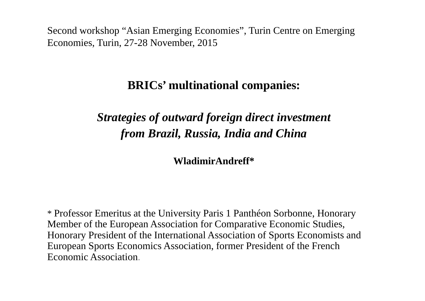Second workshop "Asian Emerging Economies", Turin Centre on Emerging Economies, Turin, 27-28 November, 2015

# **BRICs' multinational companies:**

# *Strategies of outward foreign direct investment from Brazil, Russia, India and China*

**WladimirAndreff\***

\* Professor Emeritus at the University Paris 1 Panthéon Sorbonne, Honorary Member of the European Association for Comparative Economic Studies, Honorary President of the International Association of Sports Economists and European Sports Economics Association, former President of the French Economic Association.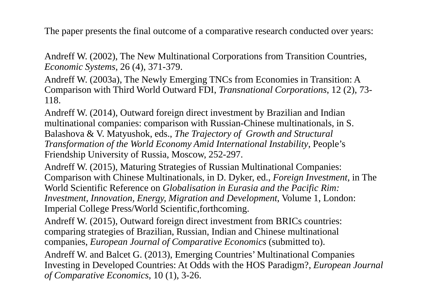The paper presents the final outcome of a comparative research conducted over years:

Andreff W. (2002), The New Multinational Corporations from Transition Countries, *Economic Systems*, 26 (4), 371-379.

Andreff W. (2003a), The Newly Emerging TNCs from Economies in Transition: A Comparison with Third World Outward FDI, *Transnational Corporations*, 12 (2), 73- 118.

Andreff W. (2014), Outward foreign direct investment by Brazilian and Indian multinational companies: comparison with Russian-Chinese multinationals, in S. Balashova & V. Matyushok, eds., *The Trajectory of Growth and Structural Transformation of the World Economy Amid International Instability*, People's Friendship University of Russia, Moscow, 252-297.

Andreff W. (2015), Maturing Strategies of Russian Multinational Companies: Comparison with Chinese Multinationals, in D. Dyker, ed., *Foreign Investment*, in The World Scientific Reference on *Globalisation in Eurasia and the Pacific Rim: Investment, Innovation, Energy, Migration and Development*, Volume 1, London: Imperial College Press/World Scientific,forthcoming.

Andreff W. (2015), Outward foreign direct investment from BRICs countries: comparing strategies of Brazilian, Russian, Indian and Chinese multinational companies, *European Journal of Comparative Economics* (submitted to).

Andreff W. and Balcet G. (2013), Emerging Countries' Multinational Companies Investing in Developed Countries: At Odds with the HOS Paradigm?, *European Journal of Comparative Economics*, 10 (1), 3-26.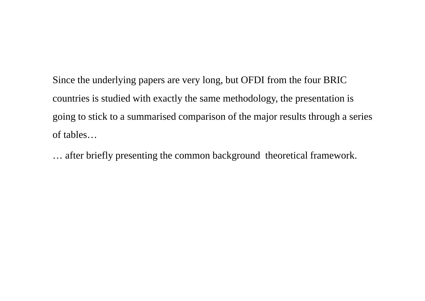Since the underlying papers are very long, but OFDI from the four BRIC countries is studied with exactly the same methodology, the presentation is going to stick to a summarised comparison of the major results through a series of tables…

… after briefly presenting the common background theoretical framework.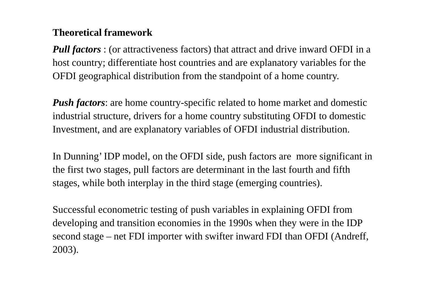#### **Theoretical framework**

*Pull factors* : (or attractiveness factors) that attract and drive inward OFDI in a host country; differentiate host countries and are explanatory variables for the OFDI geographical distribution from the standpoint of a home country.

*Push factors*: are home country-specific related to home market and domestic industrial structure, drivers for a home country substituting OFDI to domestic Investment, and are explanatory variables of OFDI industrial distribution.

In Dunning' IDP model, on the OFDI side, push factors are more significant in the first two stages, pull factors are determinant in the last fourth and fifth stages, while both interplay in the third stage (emerging countries).

Successful econometric testing of push variables in explaining OFDI from developing and transition economies in the 1990s when they were in the IDP second stage – net FDI importer with swifter inward FDI than OFDI (Andreff, 2003).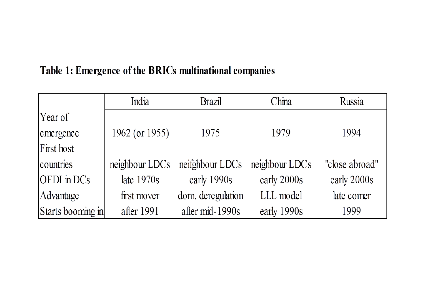## Table 1: Emergence of the BRICs multinational companies

|                   | India          | <b>Brazil</b>                  | China          | Russia         |
|-------------------|----------------|--------------------------------|----------------|----------------|
| Year of           |                |                                |                |                |
| emergence         | 1962 (or 1955) | 1975                           | 1979           | 1994           |
| First host        |                |                                |                |                |
| countries         |                | neighbour LDCs neifghbour LDCs | neighbour LDCs | "close abroad" |
| OFDI in DCs       | late $1970s$   | early 1990s                    | early 2000s    | early 2000s    |
| Advantage         | first mover    | dom. deregulation              | LLL model      | late comer     |
| Starts booming in | after 1991     | after mid-1990s                | early 1990s    | 1999           |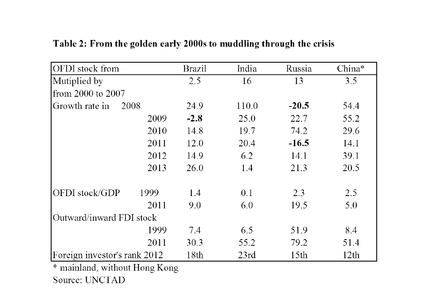| <b>OFDI</b> stock from       |      | <b>Brazil</b> | India | Russia           | China* |
|------------------------------|------|---------------|-------|------------------|--------|
| Mutiplied by                 |      | 2.5           | 16    | 13               | 3.5    |
| from 2000 to 2007            |      |               |       |                  |        |
| Growth rate in               | 2008 | 24.9          | 110.0 | $-20.5$          | 54.4   |
|                              | 2009 | $-2.8$        | 25.0  | 22.7             | 55.2   |
|                              | 2010 | 14.8          | 19.7  | 74.2             | 29.6   |
|                              | 2011 | 12.0          | 20.4  | $-16.5$          | 14.1   |
|                              | 2012 | 14.9          | 6.2   | 14.1             | 39.1   |
|                              | 2013 | 26.0          | 1.4   | 21.3             | 20.5   |
| OFDI stock/GDP               | 1999 | 1.4           | 0.1   | 2.3              | 2.5    |
|                              | 2011 | 9.0           | 6.0   | 19.5             | 5.0    |
| Outward/inward FDI stock     |      |               |       |                  |        |
|                              | 1999 | 7.4           | 6.5   | 51.9             | 8.4    |
|                              | 2011 | 30.3          | 55.2  | 79.2             | 51.4   |
| Foreign investor's rank 2012 |      | 18th          | 23rd  | 15 <sup>th</sup> | 12th   |

#### Table 2: From the golden early 2000s to muddling through the crisis

\* mainland, without Hong Kong Source: UNCTAD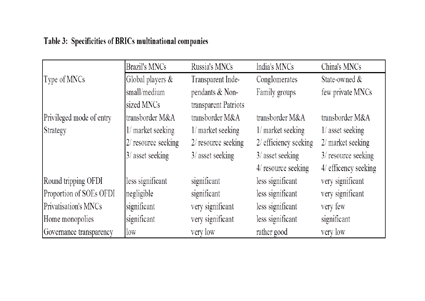### Table 3: Specificities of BRICs multinational companies

|                          | <b>Brazil's MNCs</b>  | Russia's MNCs        | India's MNCs          | China's MNCs         |
|--------------------------|-----------------------|----------------------|-----------------------|----------------------|
| Type of MNCs             | Global players &      | Transparent Inde-    | Conglomerates         | State-owned $\&$     |
|                          | small/medium          | pendants & Non-      | Family groups         | few private MNCs     |
|                          | sized MNCs            | transparent Patriots |                       |                      |
| Privileged mode of entry | transborder M&A       | transborder M&A      | transborder M&A       | transborder M&A      |
| Strategy                 | 1/ market seeking     | 1/ market seeking    | 1/ market seeking     | $1/$ asset seeking   |
|                          | $2/$ resource seeking | 2/ resource seeking  | 2/ efficiency seeking | 2/ market seeking    |
|                          | 3/ asset seeking      | $3/$ asset seeking   | $3/$ asset seeking    | 3/ resource seeking  |
|                          |                       |                      | 4/ resource seeking   | 4/ efficency seeking |
| Round tripping OFDI      | less significant      | significant          | less significant      | very significant     |
| Proportion of SOEs OFDI  | negligible            | significant          | less significant      | very significant     |
| Privatisation's MNCs     | significant           | very significant     | less significant      | very few             |
| Home monopolies          | significant           | very significant     | less significant      | significant          |
| Governance transparency  | low                   | very low             | rather good           | very low             |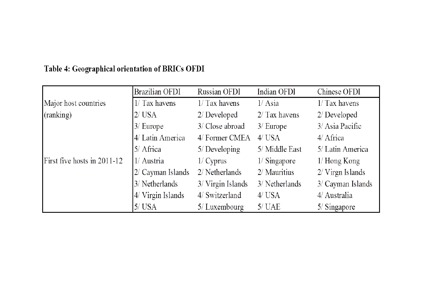|                             | <b>Brazilian OFDI</b> | Russian OFDI      | Indian OFDI     | Chinese OFDI              |
|-----------------------------|-----------------------|-------------------|-----------------|---------------------------|
| Major host countries        | $1/Tax$ havens        | $1/Tax$ havens    | $1/$ Asia       | $1/Tax$ havens            |
| (ranking)                   | $2/\text{USA}$        | $2/D$ eveloped    | $2/$ Tax havens | $2/D$ eveloped            |
|                             | $3/$ Europe           | 3/ Close abroad   | $3/$ Europe     | 3/ Asia Pacific           |
|                             | 4/ Latin America      | 4/ Former CMEA    | $4/$ USA        | 4/ Africa                 |
|                             | $5/$ Africa           | $5/$ Developing   | 5/ Middle East  | 5/ Latin America          |
| First five hosts in 2011-12 | 1/ Austria            | 1/Cyprus          | $1/$ Singapore  | $1/$ Hong Kong            |
|                             | $2/$ Cayman Islands   | 2/ Netherlands    | 2/ Mauritius    | $2/\text{V}$ irgn Islands |
|                             | 3/ Netherlands        | 3/ Virgin Islands | 3/ Netherlands  | 3/ Cayman Islands         |
|                             | 4/ Virgin Islands     | 4/ Switzerland    | $4/$ USA        | 4/ Australia              |
|                             | $5/$ USA              | 5/Luxembourg      | $5/$ UAE        | $5/$ Singapore            |

#### Table 4: Geographical orientation of BRICs OFDI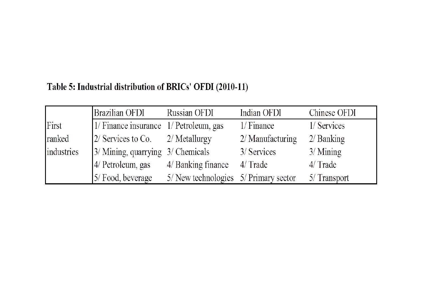### Table 5: Industrial distribution of BRICs' OFDI (2010-11)

|            | Brazilian OFDI                         | Russian OFDI                          | Indian OFDI      | Chinese OFDI |
|------------|----------------------------------------|---------------------------------------|------------------|--------------|
| First      | 1/ Finance insurance 1/ Petroleum, gas |                                       | 1/Finance        | 1/ Services  |
| ranked     | $2/$ Services to Co. $2/$ Metallurgy   |                                       | 2/ Manufacturing | $2/$ Banking |
| industries | 3/ Mining, quarrying 3/ Chemicals      |                                       | 3/ Services      | $3/$ Mining  |
|            | 4/ Petroleum, gas                      | 4/ Banking finance                    | 4/ Trade         | $4/$ Trade   |
|            | 5/ Food, beverage                      | 5/ New technologies 5/ Primary sector |                  | 5/ Transport |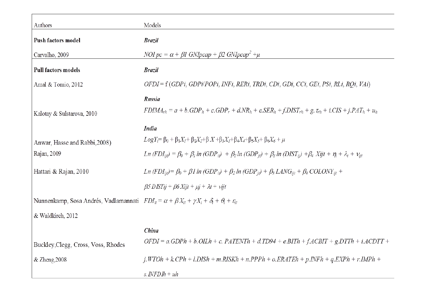| Authors                                                                                                                        | Models                                                                                                                                                    |
|--------------------------------------------------------------------------------------------------------------------------------|-----------------------------------------------------------------------------------------------------------------------------------------------------------|
| Push factors model                                                                                                             | <b>Brazil</b>                                                                                                                                             |
| Carvalho, 2009                                                                                                                 | NOI $pc = \alpha + \beta$ I GNIpcap + $\beta$ 2 GNIpcap <sup>2</sup> + $\mu$                                                                              |
| Pull factors models                                                                                                            | <b>Brazil</b>                                                                                                                                             |
| Amal & Tomio, 2012                                                                                                             | OFDI = f (GDPi, GDPi/POPi, INFi, RERi, TRDi, CDi, GDi, CCi, GEi, PSi, RLi, RQi, VAi)                                                                      |
|                                                                                                                                | Russia                                                                                                                                                    |
| Kalotay & Sulstarova, 2010                                                                                                     | $FDIMA_{rh} = a + b. GDP_h + c. GDP_r + d.NR_h + e. SER_h + f.DIST_{rh} + g.$ $\tau_{rh} + i.CIS + j.PAT_h + u_h$                                         |
|                                                                                                                                | <b>India</b>                                                                                                                                              |
| Anwar, Hasse and Rabbi, 2008)                                                                                                  | $Log Y_i = \beta_0 + \beta_1 X_i + \beta_2 X_2 + \beta X + \beta_3 X_3 + \beta_4 X_4 + \beta_5 X_5 + \beta_6 X_6 + \mu$                                   |
| Rajan, 2009                                                                                                                    | $Ln (FDIii) = \beta_0 + \beta_1 ln (GDPii) + \beta_2 ln (GDPii) + \beta_3 ln (DISTii) + \beta_4 Xijt + \eta_i + \lambda_t + vii$                          |
| Hattari & Rajan, 2010                                                                                                          | Ln $(FDI_{ii\ell}) = \beta_0 + \beta 1 \ln (GDP_{ii\ell}) + \beta_2 \ln (GDP_{ii\ell}) + \beta_3 \text{LANG}_{ii\ell} + \beta_4 \text{COLONY}_{ii\ell} +$ |
|                                                                                                                                | $\beta$ 5 DISTij + $\beta$ 6 Xijt + $\mu$ j + $\lambda$ t + vijt                                                                                          |
| Nunnenkamp, Sosa Andrés, Vadlamannati $FDI_{it} = \alpha + \beta X_{it} + \gamma X_i + \delta_t + \theta_i + \varepsilon_{it}$ |                                                                                                                                                           |
| & Waldkirch, 2012                                                                                                              |                                                                                                                                                           |
|                                                                                                                                | China                                                                                                                                                     |
| Buckley, Clegg, Cross, Voss, Rhodes                                                                                            | $OFDI = a.GDPh + b.OILh + c. PATENTh + d.TD94 + e.BITh + f. ACBIT + g.DTTh + i. ACDTT +$                                                                  |
| & Zheng, 2008                                                                                                                  | j.WTOh + k.CPh + l.DISh + m.RISKh + n.PPPh + o.ERATEh + p.INFh + q.EXPh + r.IMPh +                                                                        |
|                                                                                                                                | s. $\triangle NFDIh + uh$                                                                                                                                 |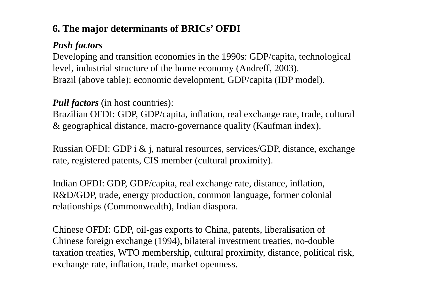## **6. The major determinants of BRICs' OFDI**

### *Push factors*

Developing and transition economies in the 1990s: GDP/capita, technological level, industrial structure of the home economy (Andreff, 2003). Brazil (above table): economic development, GDP/capita (IDP model).

#### *Pull factors* (in host countries):

Brazilian OFDI: GDP, GDP/capita, inflation, real exchange rate, trade, cultural & geographical distance, macro-governance quality (Kaufman index).

Russian OFDI: GDP i & j, natural resources, services/GDP, distance, exchange rate, registered patents, CIS member (cultural proximity).

Indian OFDI: GDP, GDP/capita, real exchange rate, distance, inflation, R&D/GDP, trade, energy production, common language, former colonial relationships (Commonwealth), Indian diaspora.

Chinese OFDI: GDP, oil-gas exports to China, patents, liberalisation of Chinese foreign exchange (1994), bilateral investment treaties, no-double taxation treaties, WTO membership, cultural proximity, distance, political risk, exchange rate, inflation, trade, market openness.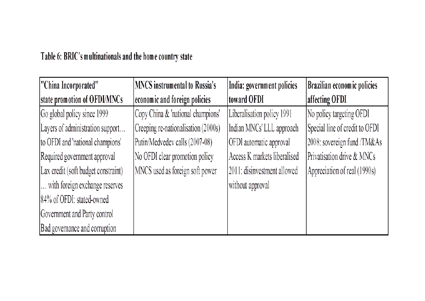## Table 6: BRIC's multinationals and the home country state

| "China Incorporated"                | <b>MNCS</b> instrumental to Russia's | India: government policies   | <b>Brazilian economic policies</b> |
|-------------------------------------|--------------------------------------|------------------------------|------------------------------------|
| state promotion of OFDI/MNCs        | economic and foreign policies        | toward OFDI                  | affecting OFDI                     |
| Go global policy since 1999         | Copy China & 'national champions'    | Liberalisation policy 1991   | No policy targeting OFDI           |
| Layers of administration support    | Creeping re-nationalisation (2000s)  | Indian MNCs' LLL approach    | Special line of credit to OFDI     |
| to OFDI and 'national champions'    | Putin/Medvedev calls (2007-08)       | OFDI automatic approval      | 2008: sovereign fund /TM&As        |
| Required government approval        | No OFDI clear promotion policy       | Access K markets liberalised | Privatisation drive & MNCs         |
| Lax credit (soft budget constraint) | MNCS used as foreign soft power      | 2011: disinvestment allowed  | Appreciation of real (1990s)       |
| with foreign exchange reserves      |                                      | without approval             |                                    |
| 84% of OFDI: stated-owned           |                                      |                              |                                    |
| Government and Party control        |                                      |                              |                                    |
| Bad governance and corruption       |                                      |                              |                                    |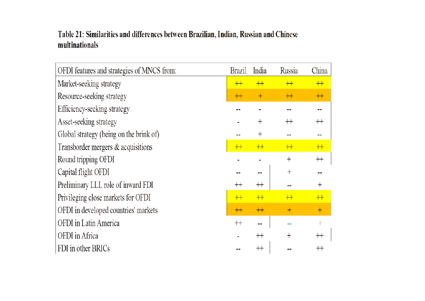#### Table 21: Similarities and differences between Brazilian, Indian, Russian and Chinese multinationals

| OFDI features and strategies of MNCS from: | <b>Brazil</b> | India       | Russia  | China       |
|--------------------------------------------|---------------|-------------|---------|-------------|
| Market-seeking strategy                    | $++$          | $+$         | $+$     | $+$         |
| Resource-seeking strategy                  | $++$          | $+$         | $+$     | $+$         |
| Efficiency-seeking strategy                |               |             |         |             |
| Asset-seeking strategy                     |               | $^{+}$      | $^{++}$ | $^{++}$     |
| Global strategy (being on the brink of)    |               | $^{+}$      |         |             |
| Transborder mergers & acquisitions         | $++$          | $+$         | $+$     | $+$         |
| Round tripping OFDI                        |               |             | $^{+}$  | $^{\rm ++}$ |
| Capital flight OFDI                        |               |             | $^{+}$  |             |
| Preliminary LLL role of inward FDI         | $^{++}$       | $^{++}$     |         | $\pm$       |
| Privileging close markets for OFDI         | $++$          | $+$         | $+$     | $+$         |
| OFDI in developed countries' markets       | $++$          | $+$         | $^{+}$  | $^{+}$      |
| OFDI in Latin America                      | $++$          |             |         | $\pm$       |
| OFDI in Africa                             |               | $^{++}$     | $^{+}$  | $^{++}$     |
| FDI in other BRICs                         |               | $^{\rm ++}$ |         |             |